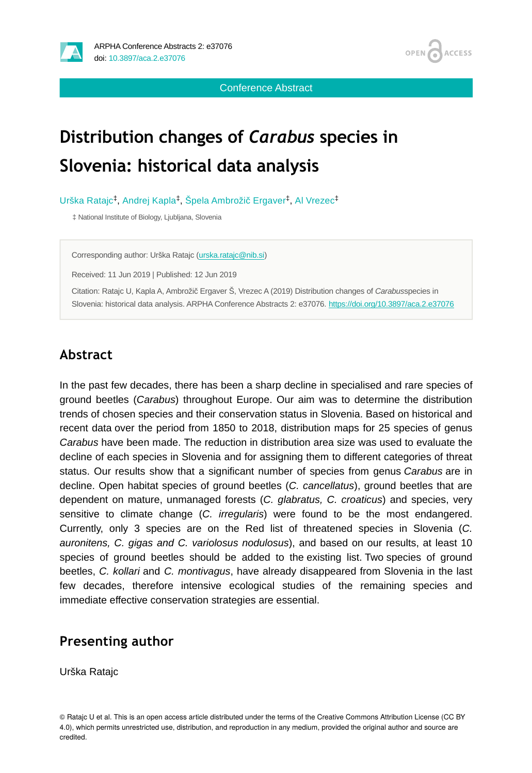

OPEN<sub>6</sub> **ACCESS** 

Conference Abstract

# **Distribution changes of** *Carabus* **species in Slovenia: historical data analysis**

Urška Ratajc<sup>‡</sup>, Andrej Kapla<sup>‡</sup>, Špela Ambrožič Ergaver<sup>‡</sup>, Al Vrezec<sup>‡</sup>

‡ National Institute of Biology, Ljubljana, Slovenia

Corresponding author: Urška Ratajc ([urska.ratajc@nib.si](mailto:urska.ratajc@nib.si))

Received: 11 Jun 2019 | Published: 12 Jun 2019

Citation: Ratajc U, Kapla A, Ambrožič Ergaver Š, Vrezec A (2019) Distribution changes of *Carabus*species in Slovenia: historical data analysis. ARPHA Conference Abstracts 2: e37076. <https://doi.org/10.3897/aca.2.e37076>

### **Abstract**

In the past few decades, there has been a sharp decline in specialised and rare species of ground beetles (*Carabus*) throughout Europe. Our aim was to determine the distribution trends of chosen species and their conservation status in Slovenia. Based on historical and recent data over the period from 1850 to 2018, distribution maps for 25 species of genus *Carabus* have been made. The reduction in distribution area size was used to evaluate the decline of each species in Slovenia and for assigning them to different categories of threat status. Our results show that a significant number of species from genus *Carabus* are in decline. Open habitat species of ground beetles (*C. cancellatus*), ground beetles that are dependent on mature, unmanaged forests (*C. glabratus, C. croaticus*) and species, very sensitive to climate change (*C. irregularis*) were found to be the most endangered. Currently, only 3 species are on the Red list of threatened species in Slovenia (*C. auronitens, C. gigas and C. variolosus nodulosus*), and based on our results, at least 10 species of ground beetles should be added to the existing list. Two species of ground beetles, *C. kollari* and *C. montivagus*, have already disappeared from Slovenia in the last few decades, therefore intensive ecological studies of the remaining species and immediate effective conservation strategies are essential.

#### **Presenting author**

Urška Ratajc

© Ratajc U et al. This is an open access article distributed under the terms of the Creative Commons Attribution License (CC BY 4.0), which permits unrestricted use, distribution, and reproduction in any medium, provided the original author and source are credited.